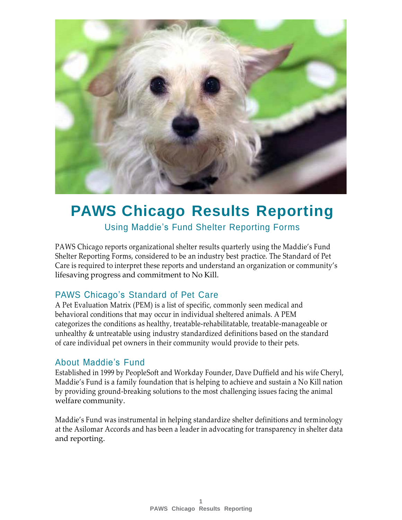

# **PAWS Chicago Results Reporting**

Using Maddie's Fund Shelter Reporting Forms

PAWS Chicago reports organizational shelter results quarterly using the Maddie's Fund Shelter Reporting Forms, considered to be an industry best practice. The Standard of Pet Care is required to interpret these reports and understand an organization or community's lifesaving progress and commitment to No Kill.

### PAWS Chicago's Standard of Pet Care

A Pet Evaluation Matrix (PEM) is a list of specific, commonly seen medical and behavioral conditions that may occur in individual sheltered animals. A PEM categorizes the conditions as healthy, treatable-rehabilitatable, treatable-manageable or unhealthy & untreatable using industry standardized definitions based on the standard of care individual pet owners in their community would provide to their pets.

### About Maddie's Fund

Established in 1999 by PeopleSoft and Workday Founder, Dave Duffield and his wife Cheryl, Maddie's Fund is a family foundation that is helping to achieve and sustain a No Kill nation by providing ground-breaking solutions to the most challenging issues facing the animal welfare community.

Maddie's Fund was instrumental in helping standardize shelter definitions and terminology at the Asilomar Accords and has been a leader in advocating for transparency in shelter data and reporting.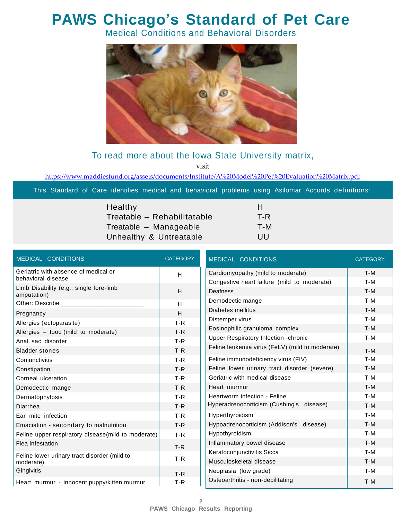## **PAWS Chicago's Standard of Pet Care**

Medical Conditions and Behavioral Disorders



### To read more about the Iowa State University matrix,

visit

<https://www.maddiesfund.org/assets/documents/Institute/A%20Model%20Pet%20Evaluation%20Matrix.pdf>

This Standard of Care identifies medical and behavioral problems using Asilomar Accords definitions:

| Healthy                     | н   |
|-----------------------------|-----|
| Treatable - Rehabilitatable | T-R |
| Treatable - Manageable      | T-M |
| Unhealthy & Untreatable     | UU  |

| MEDICAL CONDITIONS                                     | <b>CATEGORY</b> | MEDICAL CONDITIONS                              | <b>CATEGORY</b> |
|--------------------------------------------------------|-----------------|-------------------------------------------------|-----------------|
| Geriatric with absence of medical or                   | H               | Cardiomyopathy (mild to moderate)               |                 |
| behavioral disease                                     |                 | Congestive heart failure (mild to moderate)     |                 |
| Limb Disability (e.g., single fore-limb<br>amputation) | H               | Deafness                                        |                 |
| Other: Describe ________                               | H               | Demodectic mange                                |                 |
| Pregnancy                                              | H               | Diabetes mellitus                               |                 |
| Allergies (ectoparasite)                               | $T-R$           | Distemper virus                                 |                 |
| Allergies - food (mild to moderate)                    | $T-R$           | Eosinophilic granuloma complex                  |                 |
| Anal sac disorder                                      | $T-R$           | <b>Upper Respiratory Infection -chronic</b>     |                 |
| <b>Bladder stones</b>                                  | $T-R$           | Feline leukemia virus (FeLV) (mild to moderate) |                 |
| Conjunctivitis                                         | $T-R$           | Feline immunodeficiency virus (FIV)             |                 |
| Constipation                                           | $T-R$           | Feline lower urinary tract disorder (severe)    |                 |
| Corneal ulceration                                     | $T-R$           | Geriatric with medical disease                  |                 |
| Demodectic mange                                       | $T-R$           | Heart murmur                                    |                 |
| Dermatophytosis                                        | $T-R$           | Heartworm infection - Feline                    |                 |
| Diarrhea                                               | $T-R$           | Hyperadrenocorticism (Cushing's disease)        |                 |
| Ear mite infection                                     | $T-R$           | Hyperthyroidism                                 |                 |
| Emaciation - secondary to malnutrition                 | $T-R$           | Hypoadrenocorticism (Addison's disease)         |                 |
| Feline upper respiratory disease (mild to moderate)    | $T-R$           | Hypothyroidism                                  |                 |
| Flea infestation                                       | $T-R$           | Inflammatory bowel disease                      |                 |
| Feline lower urinary tract disorder (mild to           |                 | Keratoconjunctivitis Sicca                      |                 |
| moderate)                                              | $T-R$           | Musculoskeletal disease                         |                 |
| Gingivitis                                             | $T-R$           | Neoplasia (low grade)                           |                 |
| Heart murmur - innocent puppy/kitten murmur            | $T-R$           | Osteoarthritis - non-debilitating               |                 |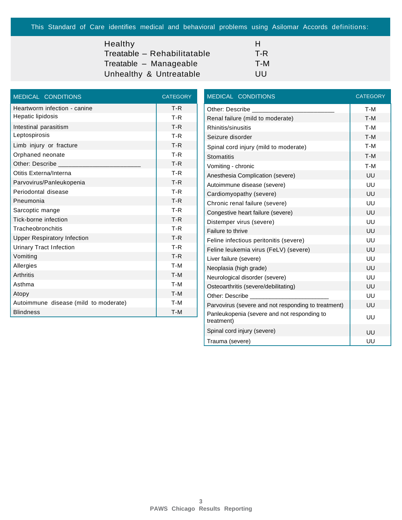This Standard of Care identifies medical and behavioral problems using Asilomar Accords definitions:

### Healthy **Health**

 $Treatable - Rehabilitatable$  $Treatable - Manageable$ 

Unhealthy & Untreatable UU

| н   |
|-----|
| T-R |
| T-M |
| .   |

| <b>MEDICAL CONDITIONS</b>             | <b>CATEGORY</b> |
|---------------------------------------|-----------------|
| Heartworm infection - canine          | $T-R$           |
| Hepatic lipidosis                     | $T-R$           |
| Intestinal parasitism                 | $T-R$           |
| Leptospirosis                         | $T-R$           |
| Limb injury or fracture               | $T-R$           |
| Orphaned neonate                      | $T-R$           |
| Other: Describe                       | $T-R$           |
| Otitis Externa/Interna                | $T-R$           |
| Parvovirus/Panleukopenia              | $T-R$           |
| Periodontal disease                   | $T-R$           |
| Pneumonia                             | $T-R$           |
| Sarcoptic mange                       | $T-R$           |
| Tick-borne infection                  | $T-R$           |
| Tracheobronchitis                     | $T-R$           |
| <b>Upper Respiratory Infection</b>    | $T-R$           |
| <b>Urinary Tract Infection</b>        | $T-R$           |
| Vomiting                              | $T-R$           |
| Allergies                             | T-M             |
| <b>Arthritis</b>                      | T-M             |
| Asthma                                | T-M             |
| Atopy                                 | T-M             |
| Autoimmune disease (mild to moderate) | T-M             |
| <b>Blindness</b>                      | T-M             |

| <b>MEDICAL CONDITIONS</b>                                 | <b>CATEGORY</b> |
|-----------------------------------------------------------|-----------------|
| Other: Describe ________                                  | T-M             |
| Renal failure (mild to moderate)                          | T-M             |
| Rhinitis/sinusitis                                        | T-M             |
| Seizure disorder                                          | T-M             |
| Spinal cord injury (mild to moderate)                     | T-M             |
| <b>Stomatitis</b>                                         | T-M             |
| Vomiting - chronic                                        | T-M             |
| Anesthesia Complication (severe)                          | UU              |
| Autoimmune disease (severe)                               | UU              |
| Cardiomyopathy (severe)                                   | UU              |
| Chronic renal failure (severe)                            | UU              |
| Congestive heart failure (severe)                         | UU              |
| Distemper virus (severe)                                  | UU              |
| Failure to thrive                                         | UU              |
| Feline infectious peritonitis (severe)                    | UU              |
| Feline leukemia virus (FeLV) (severe)                     | UU              |
| Liver failure (severe)                                    | UU              |
| Neoplasia (high grade)                                    | UU              |
| Neurological disorder (severe)                            | UU              |
| Osteoarthritis (severe/debilitating)                      | UU              |
| Other: Describe                                           | UU              |
| Parvovirus (severe and not responding to treatment)       | UU              |
| Panleukopenia (severe and not responding to<br>treatment) | UU              |
| Spinal cord injury (severe)                               | UU              |
| Trauma (severe)                                           | UU              |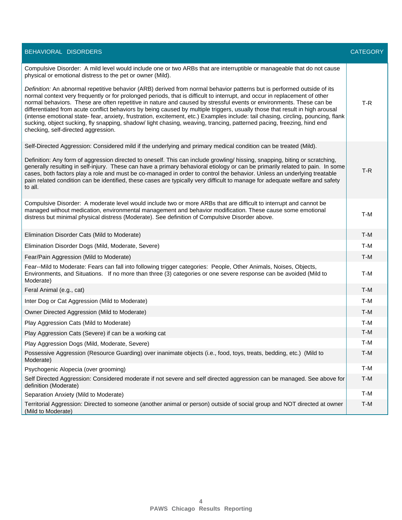| BEHAVIORAL DISORDERS                                                                                                                                                                                                                                                                                                                                                                                                                                                                                                                                                                                                                                                                                                                                                                                             | <b>CATEGORY</b> |
|------------------------------------------------------------------------------------------------------------------------------------------------------------------------------------------------------------------------------------------------------------------------------------------------------------------------------------------------------------------------------------------------------------------------------------------------------------------------------------------------------------------------------------------------------------------------------------------------------------------------------------------------------------------------------------------------------------------------------------------------------------------------------------------------------------------|-----------------|
| Compulsive Disorder: A mild level would include one or two ARBs that are interruptible or manageable that do not cause<br>physical or emotional distress to the pet or owner (Mild).                                                                                                                                                                                                                                                                                                                                                                                                                                                                                                                                                                                                                             |                 |
| Definition: An abnormal repetitive behavior (ARB) derived from normal behavior patterns but is performed outside of its<br>normal context very frequently or for prolonged periods, that is difficult to interrupt, and occur in replacement of other<br>normal behaviors. These are often repetitive in nature and caused by stressful events or environments. These can be<br>differentiated from acute conflict behaviors by being caused by multiple triggers, usually those that result in high arousal<br>(intense emotional state- fear, anxiety, frustration, excitement, etc.) Examples include: tail chasing, circling, pouncing, flank<br>sucking, object sucking, fly snapping, shadow/light chasing, weaving, trancing, patterned pacing, freezing, hind end<br>checking, self-directed aggression. | $T-R$           |
| Self-Directed Aggression: Considered mild if the underlying and primary medical condition can be treated (Mild).                                                                                                                                                                                                                                                                                                                                                                                                                                                                                                                                                                                                                                                                                                 |                 |
| Definition: Any form of aggression directed to oneself. This can include growling/ hissing, snapping, biting or scratching,<br>generally resulting in self-injury. These can have a primary behavioral etiology or can be primarily related to pain. In some<br>cases, both factors play a role and must be co-managed in order to control the behavior. Unless an underlying treatable<br>pain related condition can be identified, these cases are typically very difficult to manage for adequate welfare and safety<br>to all.                                                                                                                                                                                                                                                                               | $T-R$           |
| Compulsive Disorder: A moderate level would include two or more ARBs that are difficult to interrupt and cannot be<br>managed without medication, environmental management and behavior modification. These cause some emotional<br>distress but minimal physical distress (Moderate). See definition of Compulsive Disorder above.                                                                                                                                                                                                                                                                                                                                                                                                                                                                              | T-M             |
| Elimination Disorder Cats (Mild to Moderate)                                                                                                                                                                                                                                                                                                                                                                                                                                                                                                                                                                                                                                                                                                                                                                     | T-M             |
| Elimination Disorder Dogs (Mild, Moderate, Severe)                                                                                                                                                                                                                                                                                                                                                                                                                                                                                                                                                                                                                                                                                                                                                               | T-M             |
| Fear/Pain Aggression (Mild to Moderate)                                                                                                                                                                                                                                                                                                                                                                                                                                                                                                                                                                                                                                                                                                                                                                          | $T-M$           |
| Fear--Mild to Moderate: Fears can fall into following trigger categories: People, Other Animals, Noises, Objects,<br>Environments, and Situations. If no more than three (3) categories or one severe response can be avoided (Mild to<br>Moderate)                                                                                                                                                                                                                                                                                                                                                                                                                                                                                                                                                              | T-M             |
| Feral Animal (e.g., cat)                                                                                                                                                                                                                                                                                                                                                                                                                                                                                                                                                                                                                                                                                                                                                                                         | T-M             |
| Inter Dog or Cat Aggression (Mild to Moderate)                                                                                                                                                                                                                                                                                                                                                                                                                                                                                                                                                                                                                                                                                                                                                                   | T-M             |
| Owner Directed Aggression (Mild to Moderate)                                                                                                                                                                                                                                                                                                                                                                                                                                                                                                                                                                                                                                                                                                                                                                     | $T-M$           |
| Play Aggression Cats (Mild to Moderate)                                                                                                                                                                                                                                                                                                                                                                                                                                                                                                                                                                                                                                                                                                                                                                          | T-M             |
| Play Aggression Cats (Severe) if can be a working cat                                                                                                                                                                                                                                                                                                                                                                                                                                                                                                                                                                                                                                                                                                                                                            | T-M             |
| Play Aggression Dogs (Mild, Moderate, Severe)                                                                                                                                                                                                                                                                                                                                                                                                                                                                                                                                                                                                                                                                                                                                                                    | T-M             |
| Possessive Aggression (Resource Guarding) over inanimate objects (i.e., food, toys, treats, bedding, etc.) (Mild to<br>Moderate)                                                                                                                                                                                                                                                                                                                                                                                                                                                                                                                                                                                                                                                                                 | $T-M$           |
| Psychogenic Alopecia (over grooming)                                                                                                                                                                                                                                                                                                                                                                                                                                                                                                                                                                                                                                                                                                                                                                             | T-M             |
| Self Directed Aggression: Considered moderate if not severe and self directed aggression can be managed. See above for<br>definition (Moderate)                                                                                                                                                                                                                                                                                                                                                                                                                                                                                                                                                                                                                                                                  | $T-M$           |
| Separation Anxiety (Mild to Moderate)                                                                                                                                                                                                                                                                                                                                                                                                                                                                                                                                                                                                                                                                                                                                                                            | T-M             |
| Territorial Aggression: Directed to someone (another animal or person) outside of social group and NOT directed at owner<br>(Mild to Moderate)                                                                                                                                                                                                                                                                                                                                                                                                                                                                                                                                                                                                                                                                   | T-M             |